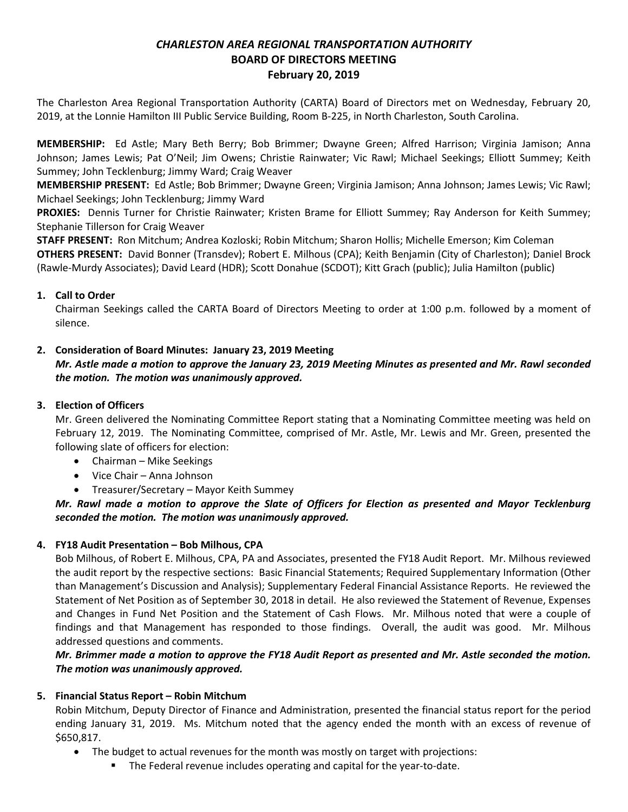# *CHARLESTON AREA REGIONAL TRANSPORTATION AUTHORITY* **BOARD OF DIRECTORS MEETING February 20, 2019**

The Charleston Area Regional Transportation Authority (CARTA) Board of Directors met on Wednesday, February 20, 2019, at the Lonnie Hamilton III Public Service Building, Room B-225, in North Charleston, South Carolina.

**MEMBERSHIP:** Ed Astle; Mary Beth Berry; Bob Brimmer; Dwayne Green; Alfred Harrison; Virginia Jamison; Anna Johnson; James Lewis; Pat O'Neil; Jim Owens; Christie Rainwater; Vic Rawl; Michael Seekings; Elliott Summey; Keith Summey; John Tecklenburg; Jimmy Ward; Craig Weaver

**MEMBERSHIP PRESENT:** Ed Astle; Bob Brimmer; Dwayne Green; Virginia Jamison; Anna Johnson; James Lewis; Vic Rawl; Michael Seekings; John Tecklenburg; Jimmy Ward

**PROXIES:** Dennis Turner for Christie Rainwater; Kristen Brame for Elliott Summey; Ray Anderson for Keith Summey; Stephanie Tillerson for Craig Weaver

**STAFF PRESENT:** Ron Mitchum; Andrea Kozloski; Robin Mitchum; Sharon Hollis; Michelle Emerson; Kim Coleman **OTHERS PRESENT:** David Bonner (Transdev); Robert E. Milhous (CPA); Keith Benjamin (City of Charleston); Daniel Brock (Rawle-Murdy Associates); David Leard (HDR); Scott Donahue (SCDOT); Kitt Grach (public); Julia Hamilton (public)

## **1. Call to Order**

Chairman Seekings called the CARTA Board of Directors Meeting to order at 1:00 p.m. followed by a moment of silence.

## **2. Consideration of Board Minutes: January 23, 2019 Meeting**

## *Mr. Astle made a motion to approve the January 23, 2019 Meeting Minutes as presented and Mr. Rawl seconded the motion. The motion was unanimously approved.*

## **3. Election of Officers**

Mr. Green delivered the Nominating Committee Report stating that a Nominating Committee meeting was held on February 12, 2019. The Nominating Committee, comprised of Mr. Astle, Mr. Lewis and Mr. Green, presented the following slate of officers for election:

- Chairman Mike Seekings
- Vice Chair Anna Johnson
- Treasurer/Secretary Mayor Keith Summey

# *Mr. Rawl made a motion to approve the Slate of Officers for Election as presented and Mayor Tecklenburg seconded the motion. The motion was unanimously approved.*

## **4. FY18 Audit Presentation – Bob Milhous, CPA**

Bob Milhous, of Robert E. Milhous, CPA, PA and Associates, presented the FY18 Audit Report. Mr. Milhous reviewed the audit report by the respective sections: Basic Financial Statements; Required Supplementary Information (Other than Management's Discussion and Analysis); Supplementary Federal Financial Assistance Reports. He reviewed the Statement of Net Position as of September 30, 2018 in detail. He also reviewed the Statement of Revenue, Expenses and Changes in Fund Net Position and the Statement of Cash Flows. Mr. Milhous noted that were a couple of findings and that Management has responded to those findings. Overall, the audit was good. Mr. Milhous addressed questions and comments.

## *Mr. Brimmer made a motion to approve the FY18 Audit Report as presented and Mr. Astle seconded the motion. The motion was unanimously approved.*

## **5. Financial Status Report – Robin Mitchum**

Robin Mitchum, Deputy Director of Finance and Administration, presented the financial status report for the period ending January 31, 2019. Ms. Mitchum noted that the agency ended the month with an excess of revenue of \$650,817.

- The budget to actual revenues for the month was mostly on target with projections:
	- **The Federal revenue includes operating and capital for the year-to-date.**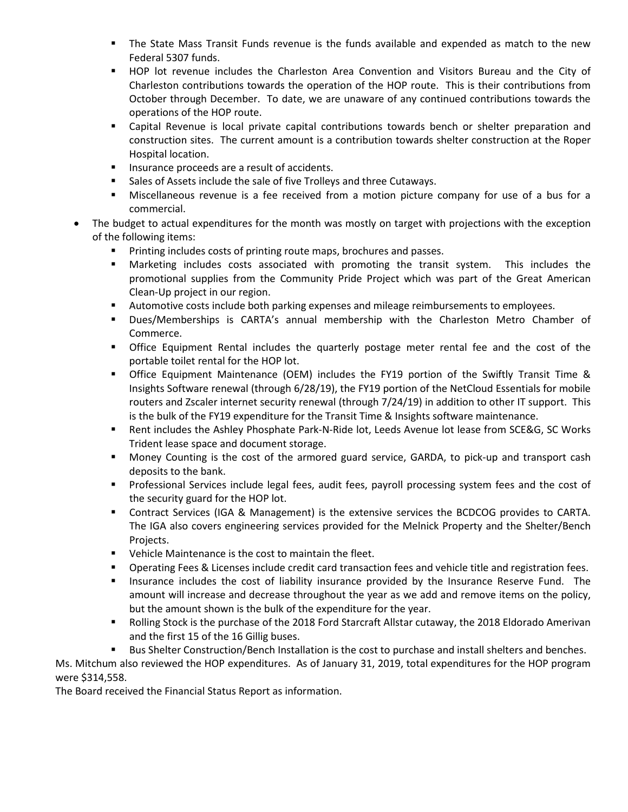- The State Mass Transit Funds revenue is the funds available and expended as match to the new Federal 5307 funds.
- HOP lot revenue includes the Charleston Area Convention and Visitors Bureau and the City of Charleston contributions towards the operation of the HOP route. This is their contributions from October through December. To date, we are unaware of any continued contributions towards the operations of the HOP route.
- Capital Revenue is local private capital contributions towards bench or shelter preparation and construction sites. The current amount is a contribution towards shelter construction at the Roper Hospital location.
- **Insurance proceeds are a result of accidents.**
- **Sales of Assets include the sale of five Trolleys and three Cutaways.**
- Miscellaneous revenue is a fee received from a motion picture company for use of a bus for a commercial.
- The budget to actual expenditures for the month was mostly on target with projections with the exception of the following items:
	- **Printing includes costs of printing route maps, brochures and passes.**
	- Marketing includes costs associated with promoting the transit system. This includes the promotional supplies from the Community Pride Project which was part of the Great American Clean-Up project in our region.
	- **Automotive costs include both parking expenses and mileage reimbursements to employees.**
	- Dues/Memberships is CARTA's annual membership with the Charleston Metro Chamber of Commerce.
	- Office Equipment Rental includes the quarterly postage meter rental fee and the cost of the portable toilet rental for the HOP lot.
	- Office Equipment Maintenance (OEM) includes the FY19 portion of the Swiftly Transit Time & Insights Software renewal (through 6/28/19), the FY19 portion of the NetCloud Essentials for mobile routers and Zscaler internet security renewal (through 7/24/19) in addition to other IT support. This is the bulk of the FY19 expenditure for the Transit Time & Insights software maintenance.
	- Rent includes the Ashley Phosphate Park-N-Ride lot, Leeds Avenue lot lease from SCE&G, SC Works Trident lease space and document storage.
	- Money Counting is the cost of the armored guard service, GARDA, to pick-up and transport cash deposits to the bank.
	- Professional Services include legal fees, audit fees, payroll processing system fees and the cost of the security guard for the HOP lot.
	- **Contract Services (IGA & Management) is the extensive services the BCDCOG provides to CARTA.** The IGA also covers engineering services provided for the Melnick Property and the Shelter/Bench Projects.
	- **•** Vehicle Maintenance is the cost to maintain the fleet.
	- **Dearating Fees & Licenses include credit card transaction fees and vehicle title and registration fees.**
	- **Insurance includes the cost of liability insurance provided by the Insurance Reserve Fund.** The amount will increase and decrease throughout the year as we add and remove items on the policy, but the amount shown is the bulk of the expenditure for the year.
	- **Bolling Stock is the purchase of the 2018 Ford Starcraft Allstar cutaway, the 2018 Eldorado Amerivan** and the first 15 of the 16 Gillig buses.
	- Bus Shelter Construction/Bench Installation is the cost to purchase and install shelters and benches.

Ms. Mitchum also reviewed the HOP expenditures. As of January 31, 2019, total expenditures for the HOP program were \$314,558.

The Board received the Financial Status Report as information.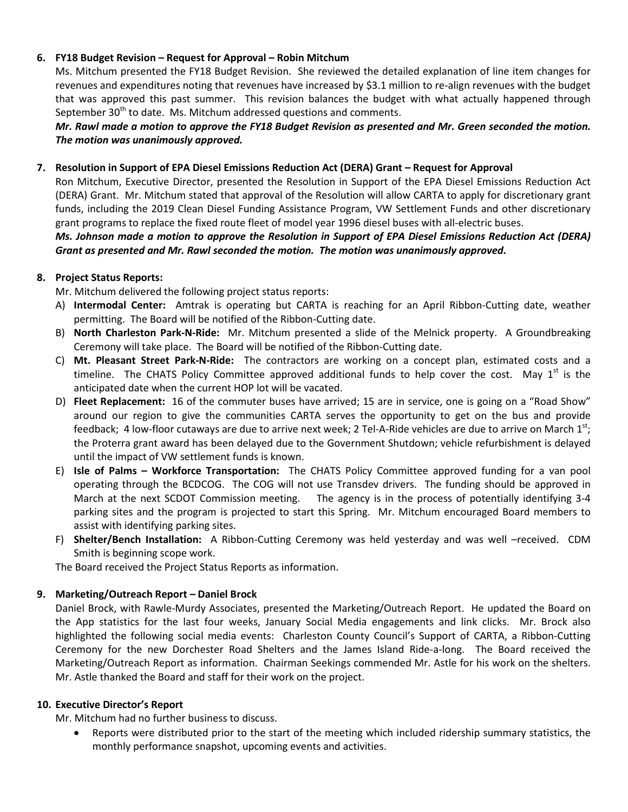### **6. FY18 Budget Revision – Request for Approval – Robin Mitchum**

Ms. Mitchum presented the FY18 Budget Revision. She reviewed the detailed explanation of line item changes for revenues and expenditures noting that revenues have increased by \$3.1 million to re-align revenues with the budget that was approved this past summer. This revision balances the budget with what actually happened through September 30<sup>th</sup> to date. Ms. Mitchum addressed questions and comments.

*Mr. Rawl made a motion to approve the FY18 Budget Revision as presented and Mr. Green seconded the motion. The motion was unanimously approved.* 

#### **7. Resolution in Support of EPA Diesel Emissions Reduction Act (DERA) Grant – Request for Approval**

Ron Mitchum, Executive Director, presented the Resolution in Support of the EPA Diesel Emissions Reduction Act (DERA) Grant. Mr. Mitchum stated that approval of the Resolution will allow CARTA to apply for discretionary grant funds, including the 2019 Clean Diesel Funding Assistance Program, VW Settlement Funds and other discretionary grant programs to replace the fixed route fleet of model year 1996 diesel buses with all-electric buses.

*Ms. Johnson made a motion to approve the Resolution in Support of EPA Diesel Emissions Reduction Act (DERA) Grant as presented and Mr. Rawl seconded the motion. The motion was unanimously approved.*

### **8. Project Status Reports:**

Mr. Mitchum delivered the following project status reports:

- A) **Intermodal Center:** Amtrak is operating but CARTA is reaching for an April Ribbon-Cutting date, weather permitting. The Board will be notified of the Ribbon-Cutting date.
- B) **North Charleston Park-N-Ride:** Mr. Mitchum presented a slide of the Melnick property. A Groundbreaking Ceremony will take place. The Board will be notified of the Ribbon-Cutting date.
- C) **Mt. Pleasant Street Park-N-Ride:** The contractors are working on a concept plan, estimated costs and a timeline. The CHATS Policy Committee approved additional funds to help cover the cost. May  $1<sup>st</sup>$  is the anticipated date when the current HOP lot will be vacated.
- D) **Fleet Replacement:** 16 of the commuter buses have arrived; 15 are in service, one is going on a "Road Show" around our region to give the communities CARTA serves the opportunity to get on the bus and provide feedback; 4 low-floor cutaways are due to arrive next week; 2 Tel-A-Ride vehicles are due to arrive on March  $1^{st}$ ; the Proterra grant award has been delayed due to the Government Shutdown; vehicle refurbishment is delayed until the impact of VW settlement funds is known.
- E) **Isle of Palms – Workforce Transportation:** The CHATS Policy Committee approved funding for a van pool operating through the BCDCOG. The COG will not use Transdev drivers. The funding should be approved in March at the next SCDOT Commission meeting. The agency is in the process of potentially identifying 3-4 parking sites and the program is projected to start this Spring. Mr. Mitchum encouraged Board members to assist with identifying parking sites.
- F) **Shelter/Bench Installation:** A Ribbon-Cutting Ceremony was held yesterday and was well –received. CDM Smith is beginning scope work.

The Board received the Project Status Reports as information.

## **9. Marketing/Outreach Report – Daniel Brock**

Daniel Brock, with Rawle-Murdy Associates, presented the Marketing/Outreach Report. He updated the Board on the App statistics for the last four weeks, January Social Media engagements and link clicks. Mr. Brock also highlighted the following social media events: Charleston County Council's Support of CARTA, a Ribbon-Cutting Ceremony for the new Dorchester Road Shelters and the James Island Ride-a-long. The Board received the Marketing/Outreach Report as information. Chairman Seekings commended Mr. Astle for his work on the shelters. Mr. Astle thanked the Board and staff for their work on the project.

#### **10. Executive Director's Report**

Mr. Mitchum had no further business to discuss.

• Reports were distributed prior to the start of the meeting which included ridership summary statistics, the monthly performance snapshot, upcoming events and activities.